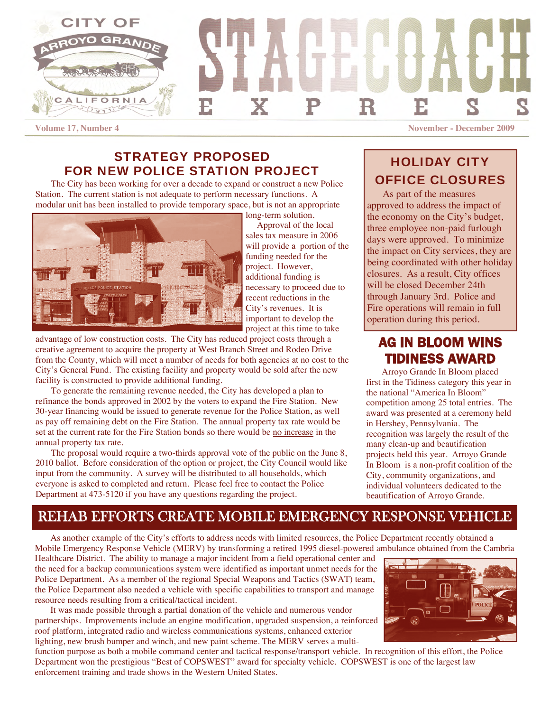

### STRATEGY PROPOSED FOR NEW POLICE STATION PROJECT

The City has been working for over a decade to expand or construct a new Police Station. The current station is not adequate to perform necessary functions. A modular unit has been installed to provide temporary space, but is not an appropriate

long-term solution.



 Approval of the local sales tax measure in 2006 will provide a portion of the funding needed for the project. However, additional funding is necessary to proceed due to recent reductions in the City's revenues. It is important to develop the project at this time to take

advantage of low construction costs. The City has reduced project costs through a creative agreement to acquire the property at West Branch Street and Rodeo Drive from the County, which will meet a number of needs for both agencies at no cost to the City's General Fund. The existing facility and property would be sold after the new facility is constructed to provide additional funding.

To generate the remaining revenue needed, the City has developed a plan to refinance the bonds approved in 2002 by the voters to expand the Fire Station. New 30-year financing would be issued to generate revenue for the Police Station, as well as pay off remaining debt on the Fire Station. The annual property tax rate would be set at the current rate for the Fire Station bonds so there would be no increase in the annual property tax rate.

The proposal would require a two-thirds approval vote of the public on the June 8, 2010 ballot. Before consideration of the option or project, the City Council would like input from the community. A survey will be distributed to all households, which everyone is asked to completed and return. Please feel free to contact the Police Department at 473-5120 if you have any questions regarding the project.

### HOLIDAY CITY OFFICE CLOSURES

As part of the measures approved to address the impact of the economy on the City's budget, three employee non-paid furlough days were approved. To minimize the impact on City services, they are being coordinated with other holiday closures. As a result, City offices will be closed December 24th through January 3rd. Police and Fire operations will remain in full operation during this period.

# AG IN BLOOM WINS TIDINESS AWARD

Arroyo Grande In Bloom placed first in the Tidiness category this year in the national "America In Bloom" competition among 25 total entries. The award was presented at a ceremony held in Hershey, Pennsylvania. The recognition was largely the result of the many clean-up and beautification projects held this year. Arroyo Grande In Bloom is a non-profit coalition of the City, community organizations, and individual volunteers dedicated to the beautification of Arroyo Grande.

# REHAB EFFORTS CREATE MOBILE EMERGENCY RESPONSE VEHICLE

As another example of the City's efforts to address needs with limited resources, the Police Department recently obtained a Mobile Emergency Response Vehicle (MERV) by transforming a retired 1995 diesel-powered ambulance obtained from the Cambria

Healthcare District. The ability to manage a major incident from a field operational center and the need for a backup communications system were identified as important unmet needs for the Police Department. As a member of the regional Special Weapons and Tactics (SWAT) team, the Police Department also needed a vehicle with specific capabilities to transport and manage resource needs resulting from a critical/tactical incident.

 It was made possible through a partial donation of the vehicle and numerous vendor partnerships. Improvements include an engine modification, upgraded suspension, a reinforced roof platform, integrated radio and wireless communications systems, enhanced exterior lighting, new brush bumper and winch, and new paint scheme. The MERV serves a multi-

function purpose as both a mobile command center and tactical response/transport vehicle. In recognition of this effort, the Police Department won the prestigious "Best of COPSWEST" award for specialty vehicle. COPSWEST is one of the largest law enforcement training and trade shows in the Western United States.